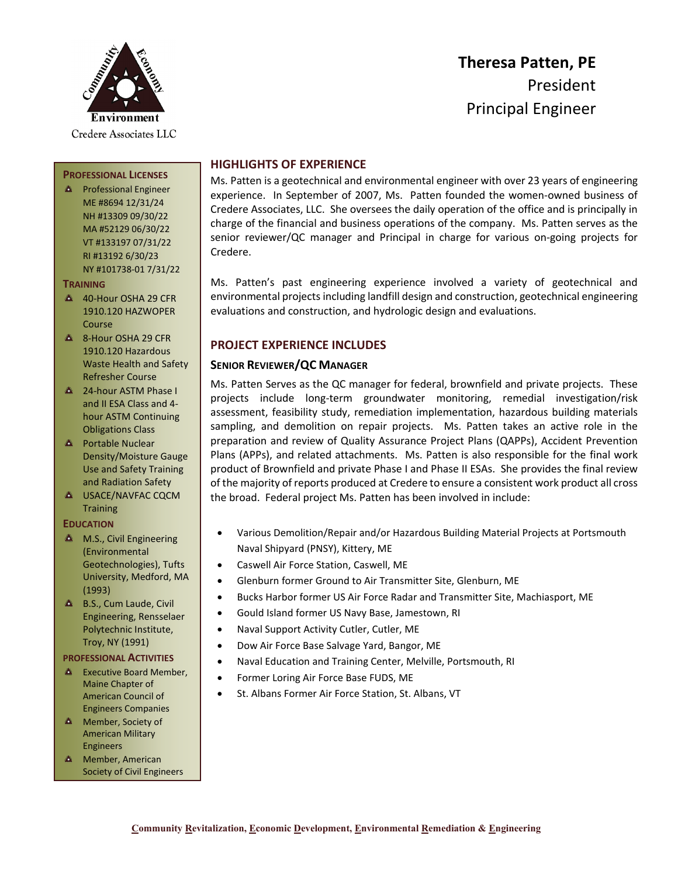

# **Theresa Patten, PE** President Principal Engineer

# **HIGHLIGHTS OF EXPERIENCE**

Ms. Patten is a geotechnical and environmental engineer with over 23 years of engineering experience. In September of 2007, Ms. Patten founded the women-owned business of Credere Associates, LLC. She oversees the daily operation of the office and is principally in charge of the financial and business operations of the company. Ms. Patten serves as the senior reviewer/QC manager and Principal in charge for various on-going projects for Credere.

Ms. Patten's past engineering experience involved a variety of geotechnical and environmental projects including landfill design and construction, geotechnical engineering evaluations and construction, and hydrologic design and evaluations.

# **PROJECT EXPERIENCE INCLUDES**

# **SENIOR REVIEWER/QC MANAGER**

Ms. Patten Serves as the QC manager for federal, brownfield and private projects. These projects include long-term groundwater monitoring, remedial investigation/risk assessment, feasibility study, remediation implementation, hazardous building materials sampling, and demolition on repair projects. Ms. Patten takes an active role in the preparation and review of Quality Assurance Project Plans (QAPPs), Accident Prevention Plans (APPs), and related attachments. Ms. Patten is also responsible for the final work product of Brownfield and private Phase I and Phase II ESAs. She provides the final review of the majority of reports produced at Credere to ensure a consistent work product all cross the broad. Federal project Ms. Patten has been involved in include:

- Various Demolition/Repair and/or Hazardous Building Material Projects at Portsmouth Naval Shipyard (PNSY), Kittery, ME
- Caswell Air Force Station, Caswell, ME
- Glenburn former Ground to Air Transmitter Site, Glenburn, ME
- Bucks Harbor former US Air Force Radar and Transmitter Site, Machiasport, ME
- Gould Island former US Navy Base, Jamestown, RI
- Naval Support Activity Cutler, Cutler, ME
- Dow Air Force Base Salvage Yard, Bangor, ME
- Naval Education and Training Center, Melville, Portsmouth, RI
- Former Loring Air Force Base FUDS, ME
- St. Albans Former Air Force Station, St. Albans, VT

# **PROFESSIONAL LICENSES**

**A** Professional Engineer ME #8694 12/31/24 NH #13309 09/30/22 MA #52129 06/30/22 VT #133197 07/31/22 RI #13192 6/30/23 NY #101738-01 7/31/22

#### **TRAINING**

- 40-Hour OSHA 29 CFR 1910.120 HAZWOPER Course
- **4 8-Hour OSHA 29 CFR** 1910.120 Hazardous Waste Health and Safety Refresher Course
- <sup>2</sup> 24-hour ASTM Phase I and II ESA Class and 4 hour ASTM Continuing Obligations Class
- **A** Portable Nuclear Density/Moisture Gauge Use and Safety Training and Radiation Safety
- **A USACE/NAVFAC CQCM Training**

#### **EDUCATION**

- **A** M.S., Civil Engineering (Environmental Geotechnologies), Tufts University, Medford, MA (1993)
- **A** B.S., Cum Laude, Civil Engineering, Rensselaer Polytechnic Institute, Troy, NY (1991)

#### **PROFESSIONAL ACTIVITIES**

- **Executive Board Member,** Maine Chapter of American Council of Engineers Companies
- **A** Member, Society of American Military Engineers
- **A** Member, American Society of Civil Engineers